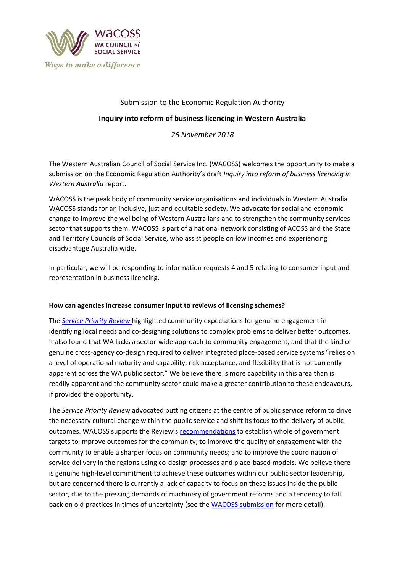

# Submission to the Economic Regulation Authority

## **Inquiry into reform of business licencing in Western Australia**

*26 November 2018*

The Western Australian Council of Social Service Inc. (WACOSS) welcomes the opportunity to make a submission on the Economic Regulation Authority's draft *Inquiry into reform of business licencing in Western Australia* report.

WACOSS is the peak body of community service organisations and individuals in Western Australia. WACOSS stands for an inclusive, just and equitable society. We advocate for social and economic change to improve the wellbeing of Western Australians and to strengthen the community services sector that supports them. WACOSS is part of a national network consisting of ACOSS and the State and Territory Councils of Social Service, who assist people on low incomes and experiencing disadvantage Australia wide.

In particular, we will be responding to information requests 4 and 5 relating to consumer input and representation in business licencing.

#### **How can agencies increase consumer input to reviews of licensing schemes?**

The *[Service Priority Review](https://www.dpc.wa.gov.au/ProjectsandSpecialEvents/ServicePriorityReview/Pages/default.aspx)* highlighted community expectations for genuine engagement in identifying local needs and co-designing solutions to complex problems to deliver better outcomes. It also found that WA lacks a sector-wide approach to community engagement, and that the kind of genuine cross-agency co-design required to deliver integrated place-based service systems "relies on a level of operational maturity and capability, risk acceptance, and flexibility that is not currently apparent across the WA public sector." We believe there is more capability in this area than is readily apparent and the community sector could make a greater contribution to these endeavours, if provided the opportunity.

The *Service Priority Review* advocated putting citizens at the centre of public service reform to drive the necessary cultural change within the public service and shift its focus to the delivery of public outcomes. WACOSS supports the Review's [recommendations](https://www.dpc.wa.gov.au/ProjectsandSpecialEvents/ServicePriorityReview/Pages/Final-Report.aspx) to establish whole of government targets to improve outcomes for the community; to improve the quality of engagement with the community to enable a sharper focus on community needs; and to improve the coordination of service delivery in the regions using co-design processes and place-based models. We believe there is genuine high-level commitment to achieve these outcomes within our public sector leadership, but are concerned there is currently a lack of capacity to focus on these issues inside the public sector, due to the pressing demands of machinery of government reforms and a tendency to fall back on old practices in times of uncertainty (see th[e WACOSS submission](http://wacoss.org.au/wp-content/uploads/2017/09/WACOSS-SPR-Interim-Report-Response-WEB.pdf) for more detail).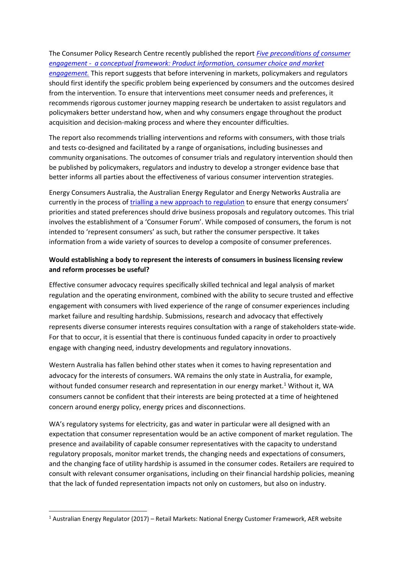## The Consumer Policy Research Centre recently published the report *[Five preconditions of consumer](http://cprc.org.au/wp-content/uploads/CPRC-Report-Five-preconditions-of-effective-market-engagement.pdf)  [engagement - a conceptual framework: Product information, consumer choice and market](http://cprc.org.au/wp-content/uploads/CPRC-Report-Five-preconditions-of-effective-market-engagement.pdf)*

*[engagement.](http://cprc.org.au/wp-content/uploads/CPRC-Report-Five-preconditions-of-effective-market-engagement.pdf)* This report suggests that before intervening in markets, policymakers and regulators should first identify the specific problem being experienced by consumers and the outcomes desired from the intervention. To ensure that interventions meet consumer needs and preferences, it recommends rigorous customer journey mapping research be undertaken to assist regulators and policymakers better understand how, when and why consumers engage throughout the product acquisition and decision-making process and where they encounter difficulties.

The report also recommends trialling interventions and reforms with consumers, with those trials and tests co-designed and facilitated by a range of organisations, including businesses and community organisations. The outcomes of consumer trials and regulatory intervention should then be published by policymakers, regulators and industry to develop a stronger evidence base that better informs all parties about the effectiveness of various consumer intervention strategies.

Energy Consumers Australia, the Australian Energy Regulator and Energy Networks Australia are currently in the process of [trialling a new approach to regulation](https://energyconsumersaustralia.com.au/wp-content/uploads/NewReg-Approach-Paper.pdf) to ensure that energy consumers' priorities and stated preferences should drive business proposals and regulatory outcomes. This trial involves the establishment of a 'Consumer Forum'. While composed of consumers, the forum is not intended to 'represent consumers' as such, but rather the consumer perspective. It takes information from a wide variety of sources to develop a composite of consumer preferences.

# **Would establishing a body to represent the interests of consumers in business licensing review and reform processes be useful?**

Effective consumer advocacy requires specifically skilled technical and legal analysis of market regulation and the operating environment, combined with the ability to secure trusted and effective engagement with consumers with lived experience of the range of consumer experiences including market failure and resulting hardship. Submissions, research and advocacy that effectively represents diverse consumer interests requires consultation with a range of stakeholders state-wide. For that to occur, it is essential that there is continuous funded capacity in order to proactively engage with changing need, industry developments and regulatory innovations.

Western Australia has fallen behind other states when it comes to having representation and advocacy for the interests of consumers. WA remains the only state in Australia, for example, without funded consumer research and representation in our energy market.<sup>1</sup> Without it, WA consumers cannot be confident that their interests are being protected at a time of heightened concern around energy policy, energy prices and disconnections.

WA's regulatory systems for electricity, gas and water in particular were all designed with an expectation that consumer representation would be an active component of market regulation. The presence and availability of capable consumer representatives with the capacity to understand regulatory proposals, monitor market trends, the changing needs and expectations of consumers, and the changing face of utility hardship is assumed in the consumer codes. Retailers are required to consult with relevant consumer organisations, including on their financial hardship policies, meaning that the lack of funded representation impacts not only on customers, but also on industry.

**.** 

<sup>1</sup> Australian Energy Regulator (2017) – Retail Markets: National Energy Customer Framework, AER website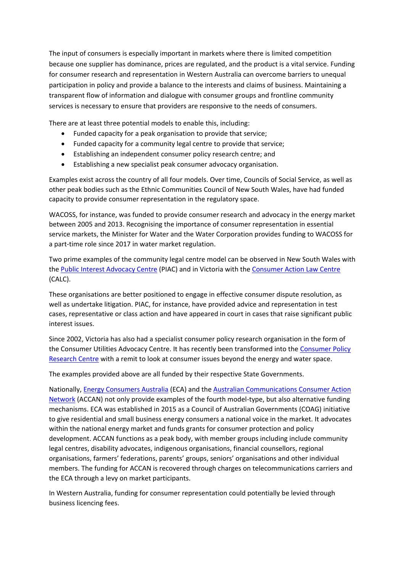The input of consumers is especially important in markets where there is limited competition because one supplier has dominance, prices are regulated, and the product is a vital service. Funding for consumer research and representation in Western Australia can overcome barriers to unequal participation in policy and provide a balance to the interests and claims of business. Maintaining a transparent flow of information and dialogue with consumer groups and frontline community services is necessary to ensure that providers are responsive to the needs of consumers.

There are at least three potential models to enable this, including:

- Funded capacity for a peak organisation to provide that service;
- Funded capacity for a community legal centre to provide that service;
- Establishing an independent consumer policy research centre; and
- Establishing a new specialist peak consumer advocacy organisation.

Examples exist across the country of all four models. Over time, Councils of Social Service, as well as other peak bodies such as the Ethnic Communities Council of New South Wales, have had funded capacity to provide consumer representation in the regulatory space.

WACOSS, for instance, was funded to provide consumer research and advocacy in the energy market between 2005 and 2013. Recognising the importance of consumer representation in essential service markets, the Minister for Water and the Water Corporation provides funding to WACOSS for a part-time role since 2017 in water market regulation.

Two prime examples of the community legal centre model can be observed in New South Wales with the [Public Interest Advocacy Centre](https://www.piac.asn.au/) (PIAC) and in Victoria with th[e Consumer Action Law Centre](https://consumeraction.org.au/) (CALC).

These organisations are better positioned to engage in effective consumer dispute resolution, as well as undertake litigation. PIAC, for instance, have provided advice and representation in test cases, representative or class action and have appeared in court in cases that raise significant public interest issues.

Since 2002, Victoria has also had a specialist consumer policy research organisation in the form of the Consumer Utilities Advocacy Centre. It has recently been transformed into the [Consumer Policy](http://cprc.org.au/)  [Research Centre](http://cprc.org.au/) with a remit to look at consumer issues beyond the energy and water space.

The examples provided above are all funded by their respective State Governments.

Nationally[, Energy Consumers Australia](https://energyconsumersaustralia.com.au/) (ECA) and th[e Australian Communications Consumer Action](http://accan.org.au/index.php)  [Network](http://accan.org.au/index.php) (ACCAN) not only provide examples of the fourth model-type, but also alternative funding mechanisms. ECA was established in 2015 as a Council of Australian Governments (COAG) initiative to give residential and small business energy consumers a national voice in the market. It advocates within the national energy market and funds grants for consumer protection and policy development. ACCAN functions as a peak body, with member groups including include community legal centres, disability advocates, indigenous organisations, financial counsellors, regional organisations, farmers' federations, parents' groups, seniors' organisations and other individual members. The funding for ACCAN is recovered through charges on telecommunications carriers and the ECA through a levy on market participants.

In Western Australia, funding for consumer representation could potentially be levied through business licencing fees.